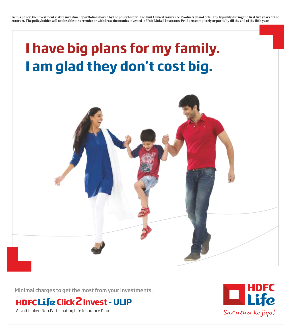**In this policy, the investment risk in investment portfolio is borne by the policyholder. The Unit Linked Insurance Products do not offer any liquidity during the first five years of the contract. The policyholderwill not be able to surrender orwithdraw the monies invested in Unit Linked Insurance Products completely orpartially till the end of the fifth year.**

# **I have big plans for my family. I am glad they don't cost big.**



Minimal charges to get the most from your investments.

**Click2Invest - ULIP**

A Unit Linked Non Participating Life Insurance Plan

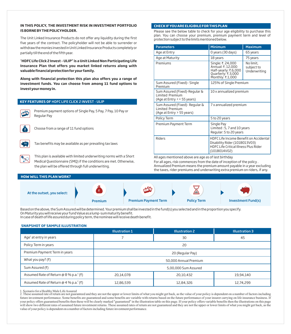## **IN THIS POLICY, THE INVESTMENT RISK IN INVESTMENT PORTFOLIO ISBORNEBYTHEPOLICYHOLDER.**

The Unit Linked Insurance Products do not offer any liquidity during the first five years of the contract. The policyholder will not be able to surrender or withdraw the monies invested in Unit Linked Insurance Products completely or partially till the end of the fifth year.

"**HDFC Life Click 2 Invest – ULIP" is a Unit Linked Non Participating Life Insurance Plan that offers you market linked returns along with valuable financial protection for your family.**

**Along with financial protection this plan also offers you a range of investment funds. You can choose from among 11 fund options to invest your money in.**

# **KEY FEATURES OF** HDFC LIFE CLICK 2 INVEST - ULIP



Premium payment options of Single Pay, 5 Pay, 7 Pay, 10 Pay or Regular Pay



Choose from a range of 11 fund options



Tax benefits may be available as per prevailing tax laws

This plan is available with limited underwriting norms with a Short Medical Questionnaire (SMQ) if the conditions are met. Otherwise, the plan will be offered through full underwriting.

## **HOW WILL THIS PLAN WORK?**



Based on the above, the Sum Assured will be determined. Your premium shall be invested in the fund(s) you selected and in the proportion you specify. On Maturity you will receive your fund Value as a lump-sum maturity benefit. In case of death of life assured during policy term, the nominee will receive death benefit.

### **SNAPSHOT OF SAMPLE ILLUSTRATION**

|                                                    | <b>Illustration 1</b> | <b>Illustration 2</b> | <b>Illustration 3</b> |
|----------------------------------------------------|-----------------------|-----------------------|-----------------------|
| Age <sup>1</sup> at entry in years                 |                       | 30                    | 45                    |
| Policy Term in years                               | 20                    |                       |                       |
| Premium Payment Term in years                      | 20 (Regular Pay)      |                       |                       |
| What you pay? $(3)$                                | 50,000 Annual Premium |                       |                       |
| Sum Assured (₹)                                    | 5,00,000 Sum Assured  |                       |                       |
| Assumed Rate of Return @ 8 % p.a. <sup>2</sup> (₹) | 20,14,078             | 20,10,432             | 19,94,140             |
| Assumed Rate of Return @ 4 % p.a. <sup>2</sup> (₹) | 12,86,539             | 12,84,326             | 12,74,299             |

1. Scenario for a Healthy Male Life Assured

2. These assumed rate of return are not guaranteed and they are not the upper or lower limits of what you might get back, as the value of your policy is dependent on a number of factors including future investment performance. Some benefits are guaranteed and some benefits are variable with returns based on the future performance of your insurer carrying on life insurance business. If your policy offers guaranteed benefits then these will be clearly marked "guaranteed" in the illustration table on this page. If your policy offers variable benefits then the illustrations on this page will show two different rates of assumed future investment returns. These assumed rates of return are not guaranteed and they are not the upper or lower limits of what you might get back, as the value of your policy is dependent on a number of factors including future investment performance.

## **CHECKIFYOUAREELIGIBILEFORTHISPLAN**

Please see the below table to check for your age eligibility to purchase this plan. You can choose your premium, premium payment term and level of protection subject to the limits mentioned below.

| <b>Parameters</b>                                                                          | <b>Minimum</b>                                                                                                                          | <b>Maximum</b>                          |  |
|--------------------------------------------------------------------------------------------|-----------------------------------------------------------------------------------------------------------------------------------------|-----------------------------------------|--|
| Age at Entry                                                                               | 0 years (30 days)                                                                                                                       | 65 years                                |  |
| Age at Maturity                                                                            | 18 years<br>75 years                                                                                                                    |                                         |  |
| Premiums                                                                                   | Single: ₹. 24,000<br>Annual: ₹, 12,000<br>Half-yearly: ₹.6,000<br>Quarterly: ₹.3,000<br>Monthly: ₹.1,000                                | No limit,<br>subject to<br>Underwriting |  |
| Sum Assured (Fixed) - Single<br>Premium                                                    | 125% of Single Premium                                                                                                                  |                                         |  |
| Sum Assured (Fixed)-Regular &<br><b>Limited Premium</b><br>(Age at Entry $\le$ = 55 years) | 10 x annualized premium                                                                                                                 |                                         |  |
| Sum Assured (Fixed) - Regular &<br>Limited Premium<br>(Age at Entry > 55 years)            | 7 x annualized premium                                                                                                                  |                                         |  |
| Policy Term                                                                                | 5 to 20 years                                                                                                                           |                                         |  |
| Premium Payment Term                                                                       | Single Pay<br>Limited: 5, 7 and 10 years<br>Regular: 5 to 20 years                                                                      |                                         |  |
| <b>Riders</b>                                                                              | HDFC Life Income Benefit on Accidental<br>Disability Rider (101B013V03)<br><b>HDFC Life Critical Illness Plus Rider</b><br>(101B014V02) |                                         |  |

All ages mentioned above are age as of last birthday

For all ages, risk commences from the date of inception of the policy . Annualized Premium means the premium amount payable in a year excluding the taxes, rider premiums and underwriting extra premium on riders, if any.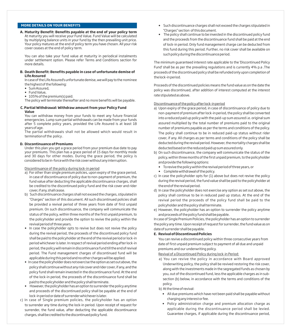# **MORE DETAILS ON YOUR BENEFITS**

**A. Maturity Benefit: Benefits payable at the end of your policy term** At maturity you will receive your Fund Value. Fund Value will be calculated by multiplying balance units in your fund by the then prevailing unit price. Your policy matures at the end of policy term you have chosen. All your risk cover ceases at the end of policy term.

You can also take your fund value at maturity in periodical instalments under settlement option. Please refer Terms and Conditions section for more details.

#### **B. Death Benefit: Benefits payable in case of unfortunate demise of Life Assured**

In case of the Life Assured's unfortunate demise, we will pay to the nominee the highest of the following:

- Sum Assured,
- Fund Value,

— 105% of the premium(s) paid.

The policy will terminate thereafter and no more benefits will be payable.

#### **C. Partial Withdrawal: Withdraw amount from your Policy Fund Value**

You can withdraw money from your funds to meet any future financial emergencies. Lump sum partial withdrawals can be made from your funds after 5 complete policy years, provided the Life Assured is at least 18 years of age.

The partial withdrawals shall not be allowed which would result in termination of the policy .

## **D. Discontinuance of Premiums**

Under this plan you get a grace period from your premium due date to pay your premiums. This plan has a grace period of 15 days for monthly mode and 30 days for other modes. During the grace period, the policy is considered to be in-force with the risk cover without any interruption.

#### Discontinuance of the policy during lock-in period

- a) For other than single premium policies, upon expiry of the grace period, in case of discontinuance of policy due to non-payment of premium, the fund value after deducting the applicable discontinuance charges, shall be credited to the discontinued policy fund and the risk cover and rider cover, if any, shall cease.
- b) Such discontinuance charges shall not exceed the charges, stipulated in "Charges" section of this document. All such discontinued policies shall be provided a revival period of three years from date of first unpaid premium. On such discontinuance, the company will communicate the status of the policy, within three months of the first unpaid premium, to the policyholder and provide the option to revive the policy within the revival period of three years.
- In case the policyholder opts to revive but does not revive the policy during the revival period, the proceeds of the discontinued policy fund shall be paid to the policyholder at the end of the revival period or lock-in period whichever is later. In respect of revival period ending after lock-in period, the policy will remain in discontinuance fund till the end of revival period. The Fund management charges of discontinued fund will be applicable during this period and no other charges will be applied.
- In case the policyholder does not exercise the option as set out above, the policy shall continue without any risk cover and rider cover, if any, and the policy fund shall remain invested in the discontinuance fund. At the end of the lock-in period, the proceeds of the discontinuance fund shall be paid to the policyholder and the policy shall terminate.
- However, the policyholder has an option to surrender the policy anytime and proceeds of the discontinued policy shall be payable at the end of lock-in period or date of surrender whichever is later.
- c) In case of Single premium policies, the policyholder has an option to surrender any time during the lock-in period. Upon receipt of request for surrender, the fund value, after deducting the applicable discontinuance charges, shall be credited to the discontinued policy fund.
- Such discontinuance charges shall not exceed the charges stipulated in "Charges" section of this document.
- The policy shall continue to be invested in the discontinued policy fund and the proceeds from the discontinuance fund shall be paid at the end of lock-in period. Only fund management charge can be deducted from this fund during this period. Further, no risk cover shall be available on such policy during the discontinuance period.

The minimum guaranteed interest rate applicable to the 'Discontinued Policy Fund' shall be as per the prevailing regulations and is currently 4% p.a .The proceeds of the discontinued policy shall be refunded only upon completion of the lock-in period.

Proceeds of the discontinued policies means the fund value as on the date the policy was discontinued, after addition of interest computed at the interest rate stipulated as above.

## Discontinuance of the policy after lock-in period

- a) Upon expiry of the grace period, in case of discontinuance of policy due to non-payment of premium after lock-in period, the policy shall be converted into a reduced paid up policy with the paid-up sum assured i.e. original sum assured multiplied by the total number of premiums paid to the original number of premiums payable as per the terms and conditions of the policy. The policy shall continue to be in reduced paid-up status without rider cover, if any. All charges as per terms and conditions of the policy shall be deducted during the revival period. However, the mortality charges shall be deducted based on the reduced paid up sum assured only.
- b) On such discontinuance, the company will communicate the status of the policy, within three months of the first unpaid premium, to the policyholder and provide the following options:
	- To revive the policy within the revival period of three years, or
	- Complete withdrawal of the policy.
- c) In case the policyholder opts for (1) above but does not revive the policy during the revival period, the fund value shall be paid to the policyholder at the end of the revival period.
- d) In case the policyholder does not exercise any option as set out above, the policy shall continue to be in reduced paid up status. At the end of the revival period the proceeds of the policy fund shall be paid to the policyholder and the policy shall terminate.
- e) However, the policyholder has an option to surrender the policy anytime and proceeds of the policy fund shall be payable.

In case of Single Premium Policies, the policyholder has an option to surrender the policy any time. Upon receipt of request for surrender, the fund value as on date of surrender shall be payable.

#### **E. Revival of Discontinued Policies**

You can revive a discontinued policy within three consecutive years from date of first unpaid premium subject to payment of all due and unpaid premiums and our underwriting policy.

Revival of a Discontinued Policy during lock-in Period:

a) You can revive the policy in accordance with Board approved Underwriting policy, the policy shall be revived restoring the risk cover, along with the investments made in the segregated funds as chosen by you, out of the discontinued fund, less the applicable charges as in subsection (b) below, in accordance with the terms and conditions of the policy.

b) At the time of revival:

- All due premiums which have not been paid shall be payable without charging any interest or fee.
- Policy administration charge and premium allocation charge as applicable during the discontinuance period shall be levied. Guarantee charges, if applicable during the discontinuance period,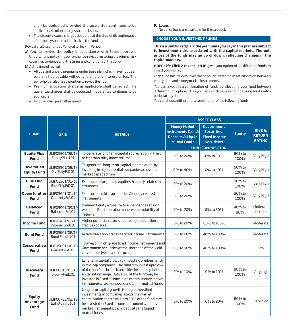shall be deducted provided the guarantee continues to be applicable. No other charges shall be levied.

— The discontinuance charges deducted at the time of discontinuance of the policy shall be added back to the fund.

## Revival of a Discontinued Policy after lock-in Period:

- a) You can revive the policy in accordance with Board approved Underwriting policy, the policy shall be revived restoring the original risk cover in accordance with the terms and conditions of the policy.
- b) At the time of revival:
	- All due and unpaid premiums under base plan which have not been paid shall be payable without charging any interest or fee. The policyholder also has the option to revive the rider.
	- Premium allocation charge as applicable shall be levied. The guarantee charges shall be deducted, if guarantee continues to be applicable.
	- No other charges shall be levied.

**F. Loans**

No policy loans are available for this product. .

# **CHOOSE YOUR INVESTMENT FUNDS**

**This is a unit linked plan; the premiums you pay in this plan are subject to investment risks associated with the capital markets. The unit prices of the funds may go up or down, reflecting changes in the capital markets.** 

**HDFC Life Click 2 Invest - ULIP** gives you option of 11 different funds to invest your money.

Each fund has its own Investment policy, based on asset allocation between equity, debt and money market instruments.

You can invest in a combination of funds by allocating your fund between different fund options. Also you can switch between funds using fund switch option at any time.

You can choose either all or a combination of the following funds:

|                                                  |                                  |                                                                                                                                                                                                                                                                                                                                     | <b>ASSET CLASS</b>                                                                               |                                                                              |                |                                                     |
|--------------------------------------------------|----------------------------------|-------------------------------------------------------------------------------------------------------------------------------------------------------------------------------------------------------------------------------------------------------------------------------------------------------------------------------------|--------------------------------------------------------------------------------------------------|------------------------------------------------------------------------------|----------------|-----------------------------------------------------|
| <b>FUND</b>                                      | <b>SFIN</b>                      | <b>DETAILS</b>                                                                                                                                                                                                                                                                                                                      | <b>Money Market</b><br>Instruments Cash &<br><b>Deposits &amp; Liquid</b><br><b>Mutual Fund*</b> | <b>Government</b><br>Securities.<br><b>Fixed Income</b><br><b>Securities</b> | <b>Equity</b>  | <b>RISK &amp;</b><br><b>RETURN</b><br><b>RATING</b> |
|                                                  |                                  |                                                                                                                                                                                                                                                                                                                                     |                                                                                                  | <b>FUND COMPOSITION</b>                                                      |                |                                                     |
| <b>Equity Plus</b><br><b>Fund</b>                | ULIF05301/08/13<br>EquityPlus101 | To generate long term capital appreciation in line or<br>better than Nifty index returns                                                                                                                                                                                                                                            | 0% to 20%                                                                                        | 0% to 20%                                                                    | 80% to<br>100% | Very High                                           |
| <b>Diversified</b><br><b>Equity Fund</b>         | ULIF05501/08/13<br>DivrEqtyFd101 | To generate long term capital appreciation by<br>investing in high potential companies across the<br>market cap spectrum                                                                                                                                                                                                            | 0% to 40%                                                                                        | 0% to 40%                                                                    | 60% to<br>100% | Very High                                           |
| <b>Blue Chip</b><br><b>Fund</b>                  | ULIF03501/01/10<br>BlueChipFd101 | Exposure to large -cap equities & equity related in<br>struments                                                                                                                                                                                                                                                                    | 0% to 20%                                                                                        |                                                                              | 80% to<br>100% | Very High                                           |
| Opportunities<br><b>Fund</b>                     | ULIF03601/01/10<br>OpprtntyFd101 | Exposure to mid-cap equities & equity related<br>instruments                                                                                                                                                                                                                                                                        | 0% to 20%                                                                                        |                                                                              | 80% to<br>100% | Very High                                           |
| <b>Balanced</b><br><b>Fund</b>                   | ULIF03901/09/10<br>BalancedFd101 | Dynamic Equity exposure to enhance the returns<br>while the Debt allocation reduces the volatility of<br>returns                                                                                                                                                                                                                    | 0% to 20%                                                                                        | 0% to 60%                                                                    | 40% to<br>80%  | Moderate<br>to High                                 |
| <b>Income Fund</b>                               | ULIF03401/01/10<br>IncomeFund101 | Higher potential returns due to higher duration and<br>credit exposure                                                                                                                                                                                                                                                              | 0% to 20%                                                                                        | 80% to100%                                                                   | ×,             | Moderate                                            |
| <b>Bond Fund</b>                                 | ULIF05601/08/13<br>Bond Funds101 | Active allocation across all fixed income instruments                                                                                                                                                                                                                                                                               | 0% to 60%                                                                                        | 40% to 100%                                                                  |                | Moderate                                            |
| Conservative<br><b>Fund</b>                      | ULIF05801/08/13<br>ConsertvFd101 | To invest in high grade fixed income instruments and<br>Government securities at the short end of the yield<br>curve, to deliver stable returns                                                                                                                                                                                     | 0% to 60%                                                                                        | 40% to 100%                                                                  |                | l nw                                                |
| <b>Discovery</b><br><b>Fund</b>                  | ULIF06618/01/18<br>DiscvryFnd101 | Long term capital growth by investing predominantly<br>in mid-cap companies. The fund may invest upto 25%<br>of the portfolio in stocks outside the mid-cap index<br>apitalisation range. Upto 10% of the fund may be<br>invested in Fixed income instruments, money market<br>instruments, cash, deposits and Liquid mutual funds. | 0% to 10%                                                                                        | 0% to 10%                                                                    | 90% to<br>100% | Very high                                           |
| <b>Equity</b><br><b>Advantage</b><br><b>Fund</b> | ULIF06723/03/18<br>EqtyAdvtFd101 | Long term capital growth through diversified<br>investments in companies across the market<br>capitalisation spectrum. Upto 20% of the fund may<br>be invested in Fixed income instruments, money<br>market instruments, cash, deposits and Liquid<br>mutual funds                                                                  | 0% to 20%                                                                                        | 0% to 20%                                                                    | 80% to<br>100% | Very high                                           |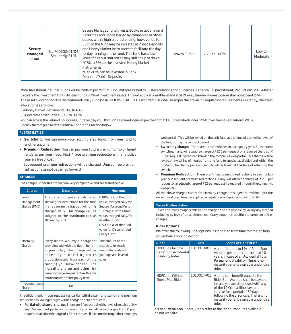| <b>Secure</b><br>Managed<br><b>Fund</b> | ULIF00202/01/04<br>Secure MgtF101 | Secure Managed fund invests 100% in Government<br>Securities and Bonds issued by companies or other<br>bodies with a high credit standing, however up to<br>25% of the fund may be invested in Public Deposits<br>and Money Market Instrument to facilitate the day-<br>to-day running of the fund. This fund has a low<br>level of risk but unit prices may still go up or down.<br>*0% to 5% can be invested Money Market<br>instruments<br>*0 to 20% can be invested in Bank<br>Deposits/Public Deposits | 0% to 25%* | 75% to 100% |  | Low to<br>Moderate |
|-----------------------------------------|-----------------------------------|-------------------------------------------------------------------------------------------------------------------------------------------------------------------------------------------------------------------------------------------------------------------------------------------------------------------------------------------------------------------------------------------------------------------------------------------------------------------------------------------------------------|------------|-------------|--|--------------------|
|-----------------------------------------|-----------------------------------|-------------------------------------------------------------------------------------------------------------------------------------------------------------------------------------------------------------------------------------------------------------------------------------------------------------------------------------------------------------------------------------------------------------------------------------------------------------------------------------------------------------|------------|-------------|--|--------------------|

Note: Investment in Mutual Funds will be made as per Mutual Fund limits prescribed by IRDAIregulations and guidelines. As per (IRDAI(Investment) Regulations, 2016 Master Circular), the Investment limit in Mutual Funds is 7% of Investment assets. This will apply at overall level and at SFINlevel, the maximum exposure shall not exceed 15%. The asset allocation for the Discontinued Policy Fund (SFIN: ULIF05110/03/11DiscontdPF101) shall be as per the prevailing regulatory requirements. Currently, the asset allocation is as follows:

(i) Money Market Instruments: 0% to 40%

(ii) Government securities: 60% to 100%.

You can access the value of policy wise units held by you, through a secured login, as per the format D02 prescribed under IRDAIInvestment Regulations, 2016. For risk factors please refer Terms & Conditions section below.

## **FLEXIBILITIES**

- **Switching:** You can move your accumulated funds from one fund to another anytime.
- **Premium Redirection:** You can pay your future premiums into different funds as per your need. First 4 free premium redirections in any policy year are free of cost.

Subsequent premium redirections will be charged. Unused free premium redirections cannot be carried forward.

## **CHARGES**

The charges under this product are very competitive and are stated below:

| Charge                             | <b>Description</b>                                                                                                                                                                                                                                                                                                                  | How much                                                                                                                                                                                                                  |
|------------------------------------|-------------------------------------------------------------------------------------------------------------------------------------------------------------------------------------------------------------------------------------------------------------------------------------------------------------------------------------|---------------------------------------------------------------------------------------------------------------------------------------------------------------------------------------------------------------------------|
| Fund<br>Management<br>Charge (FMC) | The daily unit price is calculated<br>allowing for deductions for the fund<br>management charge, which is<br>charged daily. This charge will be<br>subject to the maximum cap as<br>allowed by IRDAI                                                                                                                                | 0.80% p.a. of the fund<br>value, charged daily for<br>Secure Managed Fund.<br>1.35% p.a. of the fund<br>value, charged daily, for<br>all other funds.<br>0.50% p.a. of the fund<br>value for Discontinued<br>Policy Fund. |
| Mortality<br>Charge                | Every month we levy a charge for<br>providing you with the death benefit<br>in your policy. This charge will be<br>taken by cancelling units<br>proportionately from each of the<br>fund(s) you have chosen. The<br>mortality charge and other risk<br>benefit charge are quaranteed for the<br>entire duration of the policy term. | The amount of the<br>charge taken each<br>month depends on<br>your age and level of<br>cover.                                                                                                                             |
| Discontinuance<br>Charge           | Nil                                                                                                                                                                                                                                                                                                                                 |                                                                                                                                                                                                                           |

In addition, only if you request for partial withdrawal, fund switch and premium redirection following charges will be charged on such requests

• **Partial withdrawal charge:** There are 4 free partial withdrawals in each pol i cy year. Subsequent partial withdrawals, if any, will attract a charges ₹ 2 5 0 p e r request or a reduced charge of ₹25 per request if executed through the company's

web portal. This will be levied on the unit fund at the time of part withdrawal of the fund during the contract period.

- **Switching charge:** There are 4 free switches in each policy year. Subsequent switches, if any, will attract a charge of  $\bar{\tau}$  250 per request or a reduced charge of  $\bar{\tau}$ 25 per request if executed through the company's web portal. This charge will be levied on switching of monies from one fund to another available fund within the product. The charge per each switch will be levied at the time of effecting the switch.
- **Premium Redirection:** There are 4 free premium redirections in each policy year. Subsequent premium redirections, if any, will attract a charge of ₹250 per request or a reduced charge of ₹25 per request if executed through the company's web portal.

All the above charges except for Mortality charge are subject to revision upto the maximum allowable as per applicable regulation with prior approval of IRDAI.

#### **Taxes & other duties**

Taxes and levies as applicable will be charged and are payable by you by any method including by levy of an additional monetary amount in addition to premium and or charges.

#### **Rider Options**

We offer the following Rider options (as modified from time to time) to help you enhance your protection

| Rider                                                                | <b>UIN</b> | <b>Scope of Benefits**</b>                                                                                                                                                                                                                                                    |
|----------------------------------------------------------------------|------------|-------------------------------------------------------------------------------------------------------------------------------------------------------------------------------------------------------------------------------------------------------------------------------|
| <b>HDFC Life Income</b><br>Benefit on Accidental<br>Disability Rider | 101B013V03 | A benefit equal to 1% of Rider Sum<br>Assured per month for the next 10<br>vears, in case of an Accidental Total<br>Permanent Disability. There is no<br>maturity benefit available under this<br>rider.                                                                      |
| <b>HDFC Life Critical</b><br>Illness Plus Rider                      | 101B014V02 | A lump sum benefit equal to the<br>Rider Sum Assured shall be payable<br>in case you are diagnosed with any<br>of the 19 Critical Illnesses and<br>survive for a period of 30 days<br>following the diagnosis. There is no<br>maturity benefit available under this<br>rider. |

\*\*For all details on Riders, kindly refer to the Rider Brochures available on our website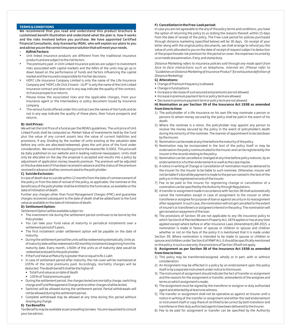### **TERMS& CONDITIONS**

We recommend that you read and understand this product brochure & customised benefit illustration and understand what the plan is, how it works and the risks involved before you purchase. We have appointed Certified Financial Consultants, duly licensed by IRDAI, who will explain our plans to you and advise you on the correct insurance solution that will meet your needs.

#### **A) Risk Factors:**

- Unit linked insurance products are different from the traditional insurance products and are subject to the risk factors.
- The premiums paid in Unit Linked Insurance policies are subject to investment risks associated with capital markets and the NAVs of the units may go up or down based on the performance of funds and factors influencing the capital market and the insured is responsible for his/her decisions.
- HDFC Life Insurance Company Limited is only the name of the Life Insurance Company and "HDFC Life Click 2 Invest - ULIP" is only the name of the Unit Linked Insurance contract and does not in any way indicate the quality of the contract, its future prospects or returns.
- Please know the associated risks and the applicable charges, from your Insurance agent or the Intermediary or policy document issued by insurance company.
- The various funds offered under this contract are the names of the funds and do not in any way indicate the quality of these plans, their future prospects and returns.

#### **B) Unit Prices:**

We will set the Unit Price of a fund as per the IRDAI's guidelines. The unit price of Unit Linked Funds shall be computed as: Market Value of Investments held by the fund plus the value of any current assets less the value of current liabilities and provisions, if any. Dividing by the number of units existing at the valuation date before any units are allocated/redeemed, gives the unit price of the fund under consideration. We round the resulting price to the nearest Re. 0.0001. This price will be daily published on our website and in leading national newspapers. Units shall only be allocated on the day the proposal is accepted and results into a policy by adjustment of application money towards premium. The premium will be adjusted on the due date even if it has been received in advance and the status of the premium received in advance shall be communicated to the policyholder.

#### **C) Suicide Exclusion :**

In case of death due to suicide within 12 months from the date of commencement of the policy or from the date of revival of the policy, as applicable, the nominee or the beneficiary of the policyholder shall be entitled to the fund value, as available on the date of intimation of death.

Further any charges other than Fund Management Charges (FMC) and guarantee charges recovered subsequent to the date of death shall be added back to the fund value as available on the date of intimation of death.

#### **D) Settlement Option:**

Settlement Option will be available subject to:

- The investment risk during the settlement period continues to be borne by the Policyholder.
- You can take your fund value at maturity in periodical instalments over a settlement period of 5 years.
- The first instalment under settlement option will be payable on the date of maturity.
- During the settlement period the units will be redeemed systematically. Units as of maturity date will be redeemed in 60 monthly instalments beginning from the maturity date. Every month, 1/60th of the units as of maturity date would be redeemed and paid to the policyholder.
- If the Fund Value at Maturity is greater than or equal to Rs 1 Lakh
- In case of settlement period after maturity, the risk cover will be maintained at 105% of the total premiums paid. Accordingly, mortality charges will be deducted. The death benefit shall be the higher of:
	- Total Fund value as on date of death
	- 105% of Total premiums paid
- During the settlement period, the charges levied are mortality charge, switching charge and Fund Management Charge and no other charges shall be levied.
- Switches will be allowed during the settlement period. Partial withdrawals will not be allowed during the settlement period..
- Complete withdrawal may be allowed at any time during this period without levying any charge.

## **E) Tax Benefits**

Tax Benefits may be available as per prevailing tax laws. You are requested to consult your tax advisor.

## **F) Cancellation in the Free-Look period:**

In case you are not agreeable to the any of the policy terms and conditions, you have the option of returning the policy to us stating the reasons thereof, within 15 days from the date of receipt of the policy. The Free-Look period for policies purchased through distance marketing (specified below) will be 30 days. On receipt of your letter along with the original policy documents, we shall arrange to refund you the value of units allocated to you on the date of receipt of request subject to deduction of the proportionate risk premium for the period on cover, the expenses incurred by us on medical examination, if any, and stamp duty.

*Distance Marketing refers to insurance policies sold through any mode apart from face-to-face interactions such as telephone, internet etc (Please refer to "Guidelines on Distance Marketing of Insurance Product" for exhaustive definition of Distance Marketing)*

## **G) Alterations:**

- Change of Premium frequency is allowed.
- Change in fund options
- Increase or decrease of sum assured and premiums are not allowed.
- Increase in premium payment term or policy term are allowed.
- Decrease in premium payment term or policy term are not allowed.

#### **H) Nomination as per Section 39 of the Insurance Act 1938 as amended from time to time:**

- 1) The policyholder of a life insurance on his own life may nominate a person or persons to whom money secured by the policy shall be paid in the event of his death.
- 2) Where the nominee is a minor, the policyholder may appoint any person to receive the money secured by the policy in the event of policyholder's death during the minority of the nominee. The manner of appointment to be laid down by the insurer.
- 3) Nomination can be made at any time before the maturity of the policy.
- 4) Nomination may be incorporated in the text of the policy itself or may be endorsed on the policy communicated to the insurer and can be registered by the insurer in the records relating to the policy.
- 5) Nomination can be cancelled or changed at any time before policy matures, by an endorsement or a further endorsement or a will as the case may be.
- 6) A notice in writing of Change or Cancellation of nomination must be delivered to the insurer for the insurer to be liable to such nominee. Otherwise, insurer will not be liable if a bonafide payment is made to the person named in the text of the policy or in the registered records of the insurer.
- 7) Fee to be paid to the insurer for registering change or cancellation of a nomination can be specified by the Authority through Regulations.
- 8) A transfer or assignment made in accordance with Section 38 shall automatically cancel the nomination except in case of assignment to the insurer or other transferee or assignee for purpose of loan or against security or its reassignment after repayment. In such case, the nomination will not get cancelled to the extent of insurer's or transferee's or assignee's interest in the policy. The nomination will get revived on repayment of the loan.
- 9) The provisions of Section 39 are not applicable to any life insurance policy to which Section 6 of Married Women's Property Act, 1874 applies or has at any time applied except where before or after Insurance Laws (Amendment),Bill 2015, a nomination is made in favour of spouse or children or spouse and children whether or not on the face of the policy it is mentioned that it is made under

Section 39. Where nomination is intended to be made to spouse or children or spouse and children under Section 6 of MWPAct, it should be specifically mentioned on the policy. In such a case only, the provisions of Section 39 will not apply.

#### **I) Assignment as per Section 38 of the Insurance Act 1938 as amended from time to time:**

- 1) This policy may be transferred/assigned, wholly or in part, with or without consideration.
- 2) An Assignment may be effected in a policy by an endorsement upon the policy itself or by a separate instrument under notice to the Insurer.
- 3) The instrument of assignment should indicate the fact of transfer or assignment and the reasons for the assignment or transfer, antecedents of the assignee and terms on which assignment is made.
- 4) The assignment must be signed by the transferor or assignor or duly authorized agent and attested by at least one witness.
- 5) The transfer or assignment shall not be operative as against an Insurer until a notice in writing of the transfer or assignment and either the said endorsement or instrument itself or copy there of certified to be correct by both transferor and transferee or their duly authorized agents have been delivered to the Insurer.
- 6) Fee to be paid for assignment or transfer can be specified by the Authority